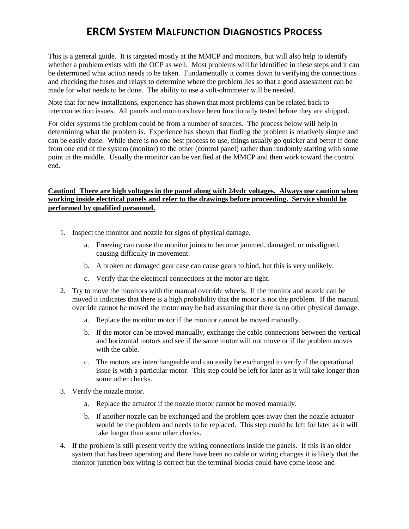This is a general guide. It is targeted mostly at the MMCP and monitors, but will also help to identify whether a problem exists with the OCP as well. Most problems will be identified in these steps and it can be determined what action needs to be taken. Fundamentally it comes down to verifying the connections and checking the fuses and relays to determine where the problem lies so that a good assessment can be made for what needs to be done. The ability to use a volt-ohmmeter will be needed.

Note that for new installations, experience has shown that most problems can be related back to interconnection issues. All panels and monitors have been functionally tested before they are shipped.

For older systems the problem could be from a number of sources. The process below will help in determining what the problem is. Experience has shown that finding the problem is relatively simple and can be easily done. While there is no one best process to use, things usually go quicker and better if done from one end of the system (monitor) to the other (control panel) rather than randomly starting with some point in the middle. Usually the monitor can be verified at the MMCP and then work toward the control end.

#### **Caution! There are high voltages in the panel along with 24vdc voltages. Always use caution when working inside electrical panels and refer to the drawings before proceeding. Service should be performed by qualified personnel.**

- 1. Inspect the monitor and nozzle for signs of physical damage.
	- a. Freezing can cause the monitor joints to become jammed, damaged, or misaligned, causing difficulty in movement.
	- b. A broken or damaged gear case can cause gears to bind, but this is very unlikely.
	- c. Verify that the electrical connections at the motor are tight.
- 2. Try to move the monitors with the manual override wheels. If the monitor and nozzle can be moved it indicates that there is a high probability that the motor is not the problem. If the manual override cannot be moved the motor may be bad assuming that there is no other physical damage.
	- a. Replace the monitor motor if the monitor cannot be moved manually.
	- b. If the motor can be moved manually, exchange the cable connections between the vertical and horizontal motors and see if the same motor will not move or if the problem moves with the cable.
	- c. The motors are interchangeable and can easily be exchanged to verify if the operational issue is with a particular motor. This step could be left for later as it will take longer than some other checks.
- 3. Verify the nozzle motor.
	- a. Replace the actuator if the nozzle motor cannot be moved manually.
	- b. If another nozzle can be exchanged and the problem goes away then the nozzle actuator would be the problem and needs to be replaced. This step could be left for later as it will take longer than some other checks.
- 4. If the problem is still present verify the wiring connections inside the panels. If this is an older system that has been operating and there have been no cable or wiring changes it is likely that the monitor junction box wiring is correct but the terminal blocks could have come loose and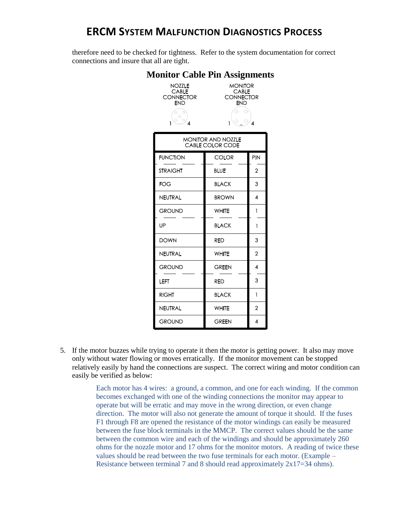therefore need to be checked for tightness. Refer to the system documentation for correct connections and insure that all are tight.

| Ionitor Cable Pin Assignment:                            |                                                                                 |                |
|----------------------------------------------------------|---------------------------------------------------------------------------------|----------------|
| NOZZLE<br><b>CABLE</b><br><b>CONNECTOR</b><br><b>END</b> | <b>MONITOR</b><br><b>CABLE</b><br><b>CONNECTOR</b><br><b>END</b><br>C<br>4<br>1 |                |
| <b>MONITOR AND NOZZLE</b><br>CABLE COLOR CODE            |                                                                                 |                |
| <b>FUNCTION</b>                                          | <b>COLOR</b>                                                                    | PIN            |
| <b>STRAIGHT</b>                                          | <b>BLUE</b>                                                                     | $\overline{2}$ |
| FOG                                                      | <b>BLACK</b>                                                                    | 3              |
| NEUTRAL                                                  | <b>BROWN</b>                                                                    | 4              |
| <b>GROUND</b>                                            | <b>WHITE</b>                                                                    | 1              |
| UP                                                       | <b>BLACK</b>                                                                    | 1              |
| <b>DOWN</b>                                              | <b>RED</b>                                                                      | 3              |
| NEUTRAL                                                  | <b>WHITE</b>                                                                    | 2              |
| <b>GROUND</b>                                            | <b>GREEN</b>                                                                    | 4              |
| LEFT                                                     | <b>RED</b>                                                                      | 3              |
| <b>RIGHT</b>                                             | <b>BLACK</b>                                                                    | 1              |
| NEUTRAL                                                  | WHITE                                                                           | 2              |
| <b>GROUND</b>                                            | <b>GREEN</b>                                                                    | 4              |

# **Monitor Cable Pin Assignments**

5. If the motor buzzes while trying to operate it then the motor is getting power. It also may move only without water flowing or moves erratically. If the monitor movement can be stopped relatively easily by hand the connections are suspect. The correct wiring and motor condition can easily be verified as below:

> Each motor has 4 wires: a ground, a common, and one for each winding. If the common becomes exchanged with one of the winding connections the monitor may appear to operate but will be erratic and may move in the wrong direction, or even change direction. The motor will also not generate the amount of torque it should. If the fuses F1 through F8 are opened the resistance of the motor windings can easily be measured between the fuse block terminals in the MMCP. The correct values should be the same between the common wire and each of the windings and should be approximately 260 ohms for the nozzle motor and 17 ohms for the monitor motors. A reading of twice these values should be read between the two fuse terminals for each motor. (Example – Resistance between terminal 7 and 8 should read approximately 2x17=34 ohms).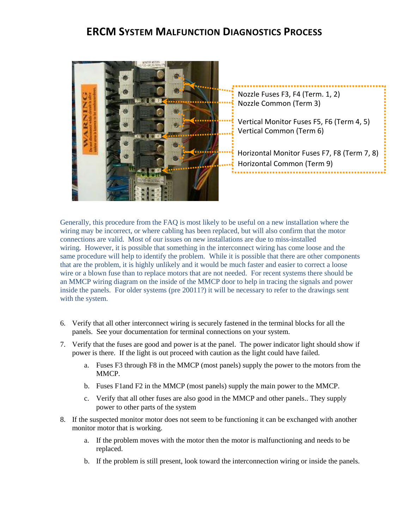

Nozzle Common (Term 3) Nozzle Fuses F3, F4 (Term. 1, 2)

Vertical Monitor Fuses F5, F6 (Term 4, 5) Vertical Common (Term 6)

Horizontal Monitor Fuses F7, F8 (Term 7, 8) Horizontal Common (Term 9) --------------------

Generally, this procedure from the FAQ is most likely to be useful on a new installation where the wiring may be incorrect, or where cabling has been replaced, but will also confirm that the motor connections are valid. Most of our issues on new installations are due to miss-installed wiring. However, it is possible that something in the interconnect wiring has come loose and the same procedure will help to identify the problem. While it is possible that there are other components that are the problem, it is highly unlikely and it would be much faster and easier to correct a loose wire or a blown fuse than to replace motors that are not needed. For recent systems there should be an MMCP wiring diagram on the inside of the MMCP door to help in tracing the signals and power inside the panels. For older systems (pre 20011?) it will be necessary to refer to the drawings sent with the system.

- 6. Verify that all other interconnect wiring is securely fastened in the terminal blocks for all the panels. See your documentation for terminal connections on your system.
- 7. Verify that the fuses are good and power is at the panel. The power indicator light should show if power is there. If the light is out proceed with caution as the light could have failed.
	- a. Fuses F3 through F8 in the MMCP (most panels) supply the power to the motors from the MMCP.
	- b. Fuses F1and F2 in the MMCP (most panels) supply the main power to the MMCP.
	- c. Verify that all other fuses are also good in the MMCP and other panels.. They supply power to other parts of the system
- 8. If the suspected monitor motor does not seem to be functioning it can be exchanged with another monitor motor that is working.
	- a. If the problem moves with the motor then the motor is malfunctioning and needs to be replaced.
	- b. If the problem is still present, look toward the interconnection wiring or inside the panels.